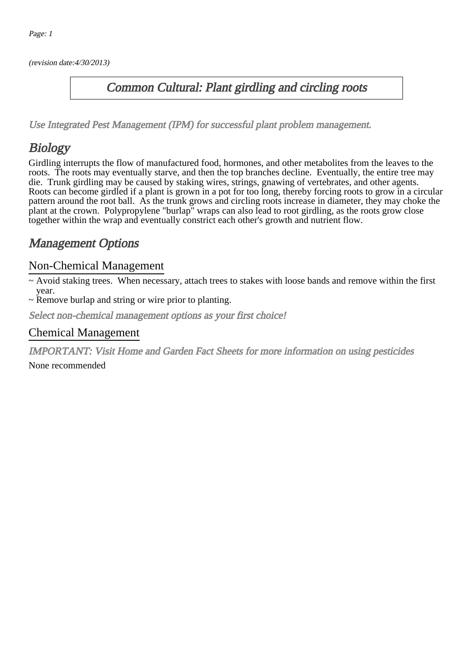(revision date:4/30/2013)

## Common Cultural: Plant girdling and circling roots

[Use Integrated Pest Management \(IPM\) for successful plant problem management.](http://pep.wsu.edu/Home_Garden/H_G_Pesticide_info/urban_Integrated_Pest_Managmen/)

# Biology

Girdling interrupts the flow of manufactured food, hormones, and other metabolites from the leaves to the roots. The roots may eventually starve, and then the top branches decline. Eventually, the entire tree may die. Trunk girdling may be caused by staking wires, strings, gnawing of vertebrates, and other agents. Roots can become girdled if a plant is grown in a pot for too long, thereby forcing roots to grow in a circular pattern around the root ball. As the trunk grows and circling roots increase in diameter, they may choke the plant at the crown. Polypropylene "burlap" wraps can also lead to root girdling, as the roots grow close together within the wrap and eventually constrict each other's growth and nutrient flow.

## Management Options

#### Non-Chemical Management

~ Avoid staking trees. When necessary, attach trees to stakes with loose bands and remove within the first year.

~ Remove burlap and string or wire prior to planting.

Select non-chemical management options as your first choice!

#### Chemical Management

IMPORTANT: [Visit Home and Garden Fact Sheets for more information on using pesticides](http://pep.wsu.edu/Home_Garden/H_G_Pesticide_info/)

None recommended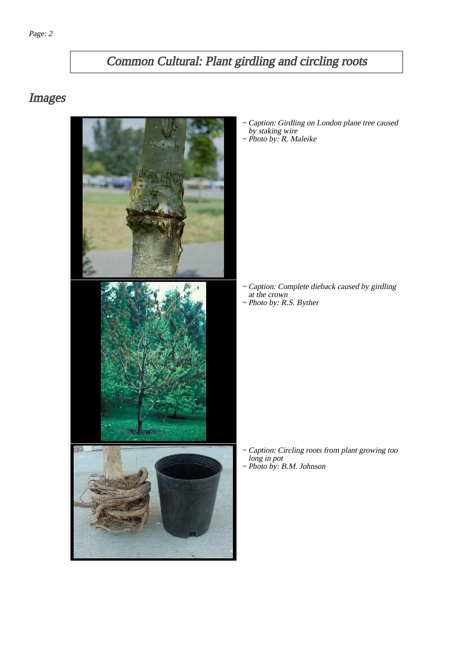# Common Cultural: Plant girdling and circling roots

### Images



- Caption: Girdling on London plane tree caused by staking wire ~
- ~ Photo by: R. Maleike

- Caption: Complete dieback caused by girdling ~ at the crown
- ~ Photo by: R.S. Byther

- Caption: Circling roots from plant growing too long in pot ~
- ~ Photo by: B.M. Johnson